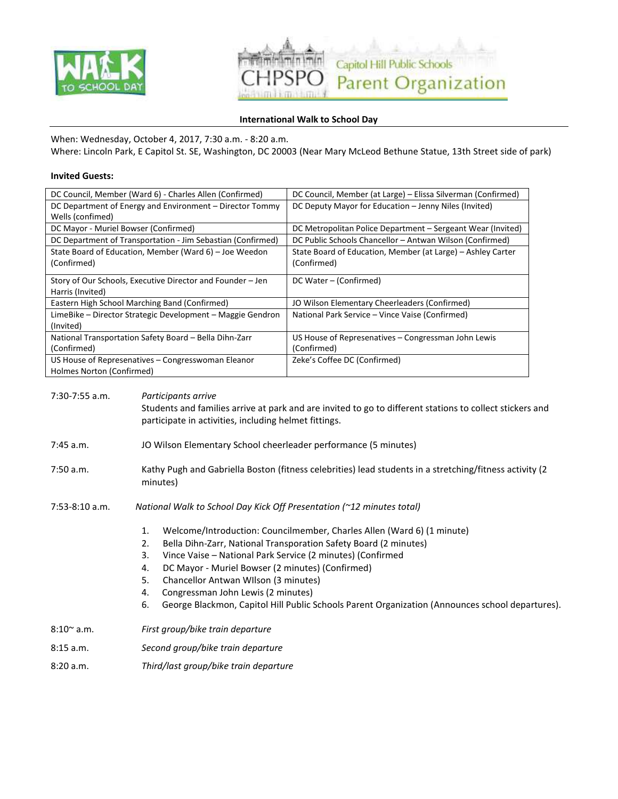



# **International Walk to School Day**

When: Wednesday, October 4, 2017, 7:30 a.m. - 8:20 a.m.

Where: Lincoln Park, E Capitol St. SE, Washington, DC 20003 (Near Mary McLeod Bethune Statue, 13th Street side of park)

## **Invited Guests:**

| DC Council, Member (Ward 6) - Charles Allen (Confirmed)     | DC Council, Member (at Large) - Elissa Silverman (Confirmed) |
|-------------------------------------------------------------|--------------------------------------------------------------|
| DC Department of Energy and Environment – Director Tommy    | DC Deputy Mayor for Education – Jenny Niles (Invited)        |
| Wells (confimed)                                            |                                                              |
| DC Mayor - Muriel Bowser (Confirmed)                        | DC Metropolitan Police Department – Sergeant Wear (Invited)  |
| DC Department of Transportation - Jim Sebastian (Confirmed) | DC Public Schools Chancellor - Antwan Wilson (Confirmed)     |
| State Board of Education, Member (Ward 6) – Joe Weedon      | State Board of Education, Member (at Large) - Ashley Carter  |
| (Confirmed)                                                 | (Confirmed)                                                  |
| Story of Our Schools, Executive Director and Founder – Jen  | DC Water – (Confirmed)                                       |
| Harris (Invited)                                            |                                                              |
| Eastern High School Marching Band (Confirmed)               | JO Wilson Elementary Cheerleaders (Confirmed)                |
| LimeBike – Director Strategic Development – Maggie Gendron  | National Park Service - Vince Vaise (Confirmed)              |
| (Invited)                                                   |                                                              |
| National Transportation Safety Board - Bella Dihn-Zarr      | US House of Represenatives – Congressman John Lewis          |
| (Confirmed)                                                 | (Confirmed)                                                  |
| US House of Represenatives - Congresswoman Eleanor          | Zeke's Coffee DC (Confirmed)                                 |
| Holmes Norton (Confirmed)                                   |                                                              |

| $7:30-7:55$ a.m.    | Participants arrive<br>Students and families arrive at park and are invited to go to different stations to collect stickers and<br>participate in activities, including helmet fittings.                                                                                                                                                                                                                                                                                                                                                                         |  |
|---------------------|------------------------------------------------------------------------------------------------------------------------------------------------------------------------------------------------------------------------------------------------------------------------------------------------------------------------------------------------------------------------------------------------------------------------------------------------------------------------------------------------------------------------------------------------------------------|--|
| $7:45$ a.m.         | JO Wilson Elementary School cheerleader performance (5 minutes)                                                                                                                                                                                                                                                                                                                                                                                                                                                                                                  |  |
| 7:50 a.m.           | Kathy Pugh and Gabriella Boston (fitness celebrities) lead students in a stretching/fitness activity (2<br>minutes)                                                                                                                                                                                                                                                                                                                                                                                                                                              |  |
| $7:53-8:10$ a.m.    | National Walk to School Day Kick Off Presentation (~12 minutes total)<br>Welcome/Introduction: Councilmember, Charles Allen (Ward 6) (1 minute)<br>1.<br>Bella Dihn-Zarr, National Transporation Safety Board (2 minutes)<br>2.<br>Vince Vaise - National Park Service (2 minutes) (Confirmed<br>3.<br>DC Mayor - Muriel Bowser (2 minutes) (Confirmed)<br>4.<br>5.<br>Chancellor Antwan Wilson (3 minutes)<br>Congressman John Lewis (2 minutes)<br>4.<br>George Blackmon, Capitol Hill Public Schools Parent Organization (Announces school departures).<br>6. |  |
| $8:10^{\circ}$ a.m. | First group/bike train departure                                                                                                                                                                                                                                                                                                                                                                                                                                                                                                                                 |  |
| 8:15 a.m.           | Second group/bike train departure                                                                                                                                                                                                                                                                                                                                                                                                                                                                                                                                |  |
| 8:20 a.m.           | Third/last group/bike train departure                                                                                                                                                                                                                                                                                                                                                                                                                                                                                                                            |  |